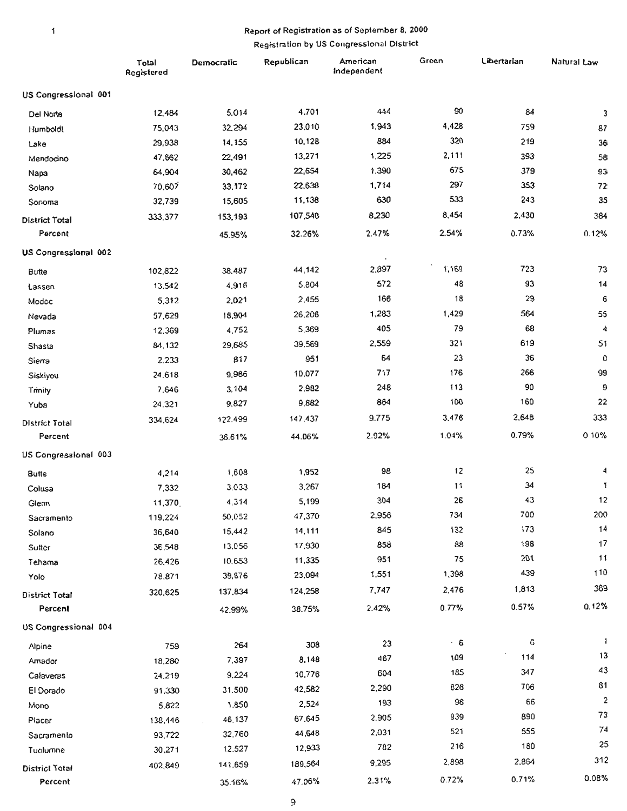#### $\mathbf{1}$

# Report of Registration as of September 8, 2000 Registration by US Congressional District

|                                  | Total<br>Registered | Democratic | Republican | American<br>Independent | Green     | Libertarian | Natural Law |
|----------------------------------|---------------------|------------|------------|-------------------------|-----------|-------------|-------------|
| US Congressional 001             |                     |            |            |                         |           |             |             |
| Del Norte                        | 12,484              | 5,014      | 4,701      | 444                     | 90        | 84          | 3           |
| Humboldt                         | 75,043              | 32,294     | 23,010     | 1,943                   | 4,428     | 759         | 87          |
| Lake                             | 29,938              | 14,155     | 10,128     | 884                     | 320       | 219         | 36          |
| Mendocino                        | 47,662              | 22,491     | 13,271     | 1,225                   | 2,111     | 393         | 58          |
| Napa                             | 64,904              | 30,462     | 22,654     | 1,390                   | 675       | 379         | 93          |
| Solano                           | 70,607              | 33.172     | 22,638     | 1,714                   | 297       | 353         | 72          |
| Sonoma                           | 32,739              | 15,605     | 11,138     | 630                     | 533       | 243         | 35          |
| <b>District Total</b>            | 333,377             | 153,193    | 107,540    | 8,230                   | 8,454     | 2,430       | 384         |
| Percent                          |                     | 45.95%     | 32.26%     | 2.47%                   | 2.54%     | 0.73%       | 0.12%       |
| US Congressional 002             |                     |            |            |                         |           |             |             |
| Butte                            | 102,822             | 38,487     | 44,142     | 2,897                   | 1,169     | 723         | 73          |
| Lassen                           | 13,542              | 4,916      | 5,804      | 572                     | 48        | 93          | $14$        |
| Modoc                            | 5,312               | 2,021      | 2,455      | 166                     | 18        | 29          | 6           |
| Nevada                           | 57,629              | 18,904     | 26,206     | 1,283                   | 1,429     | 564         | 55          |
| Plumas                           | 12,369              | 4,752      | 5,369      | 405                     | 79        | 68          | 4           |
| Shasta                           | 84,132              | 29,685     | 39,569     | 2,559                   | 321       | 619         | 51          |
| Siema                            | 2.233               | 817        | 951        | 64                      | 23        | 36          | 0           |
| Siskiyou                         | 24.618              | 9,986      | 10,077     | 717                     | 176       | 266         | 99          |
| Trinity                          | 7,646               | 3,104      | 2,982      | 248                     | 113       | 90          | 9           |
| Yuba                             | 24.321              | 9,827      | 9,882      | 864                     | 100       | 160         | 22          |
| <b>District Total</b>            | 334,624             | 122.499    | 147,437    | 9,775                   | 3,476     | 2,648       | 333         |
| Percent                          |                     | 36.61%     | 44.06%     | 2.92%                   | 1.04%     | 0.79%       | 0.10%       |
| US Congressional 003             |                     |            |            |                         |           |             |             |
|                                  |                     | 1,608      | 1,952      | 98                      | 12        | 25          | 4           |
| <b>Butte</b>                     | 4,214<br>7,332      | 3,033      | 3,267      | 184                     | 11        | 34          | 1           |
| Colusa                           | 11,370              | 4,314      | 5,199      | 304                     | 26        | 43          | 12          |
| Glenn                            | 119,224             | 50,052     | 47,370     | 2,956                   | 734       | 700         | 200         |
| Sacramento                       | 36,640              | 15,442     | 14,111     | 845                     | 132       | 173         | 14          |
| Solano                           | 36,548              | 13,056     | 17,930     | 858                     | 88        | 198         | 17          |
| Sutter<br>Tehama                 | 26,426              | 10,653     | 11,335     | 951                     | 75        | 201         | 11          |
| Yolo                             | 78,871              | 39,676     | 23,094     | 1,551                   | 1,398     | 439         | 110         |
|                                  |                     | 137,834    | 124,258    | 7,747                   | 2,476     | 1,813       | 369         |
| <b>District Total</b><br>Percent | 320,625             |            | 38.75%     | 2.42%                   | 0.77%     | 0.57%       | 0.12%       |
| US Congressional 004             |                     | 42.99%     |            |                         |           |             |             |
| Alpine                           | 759                 | 264        | 308        | 23                      | $\cdot$ 6 | 6           | 1           |
| Amador                           | 18,280              | 7,397      | 8.148      | 467                     | 109       | 114         | 13          |
| Calaveras                        | 24,219              | 9,224      | 10,776     | 604                     | 185       | 347         | 43          |
| El Dorado                        | 91,330              | 31.500     | 42,582     | 2,290                   | 826       | 706         | 81          |
| Mono                             | 5,822               | 1,850      | 2,524      | 193                     | 96        | 66          | $\mathbf 2$ |
| Placer                           | 138,446             | 46.137     | 67.645     | 2,905                   | 939       | 890         | 73          |
| Sacramento                       | 93,722              | 32,760     | 44,648     | 2,031                   | 521       | 555         | 74          |
| Tuolumne                         | 30,271              | 12.527     | 12,933     | 782                     | 216       | 180         | 25          |
|                                  | 402,849             | 141,659    | 189,564    | 9,295                   | 2,898     | 2,864       | 312         |
| District Total                   |                     |            | 47.06%     | 2.31%                   | 0.72%     | 0.71%       | 0.08%       |
| Percent                          |                     | 35.16%     |            |                         |           |             |             |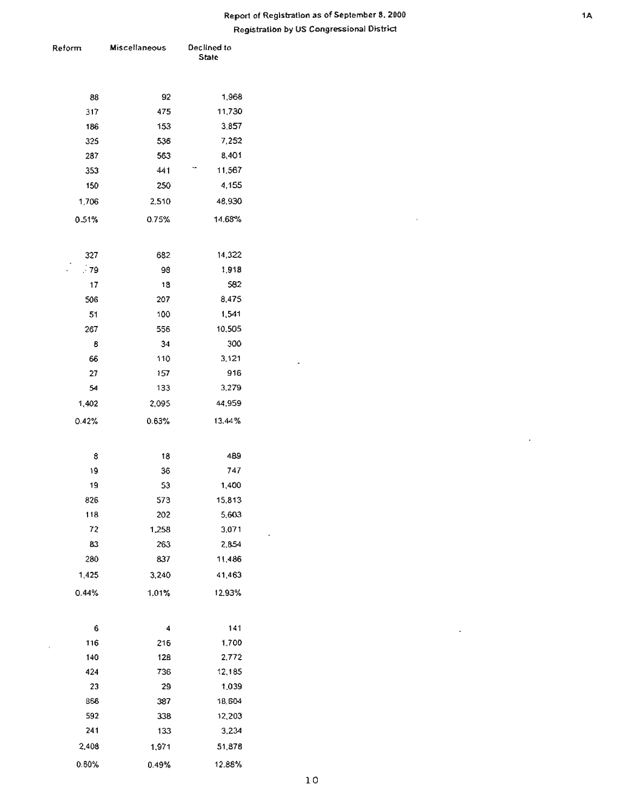$\Box$ 

 $\ddot{\phantom{a}}$ 

 $\sim$ 

| Reform | <b>Miscellaneous</b> | Declined to<br>State |
|--------|----------------------|----------------------|
| 88     | 92                   | 1,968                |
| 317    | 475                  | 11,730               |
| 186    | 153                  | 3,857                |
| 325    | 536                  | 7,252                |
| 287    | 563                  | 8,401                |
| 353    | 441                  | 11,567               |
| 150    | 250                  | 4,155                |
| 1,706  | 2,510                | 48,930               |
| 0.51%  | 0.75%                | 14.68%               |
|        |                      |                      |
| 327    | 682                  | 14,322               |
| .79    | 98                   | 1,918                |
| 17     | 18                   | 582                  |
| 506    | 207                  | 8,475                |
| 51     | 100                  | 1,541                |
| 267    | 556                  | 10,505               |
| 8      | 34                   | 300                  |
| 66     | 110                  | 3,121                |
| 27     | 157                  | 916                  |
| 54     | 133                  | 3,279                |
| 1,402  | 2,095                | 44,959               |
| 0.42%  | 0.63%                | 13.44%               |
| 8      | 18                   | 489                  |
| 19     | 36                   | 747                  |
| 19     | 53                   | 1,400                |
| 826    | 573                  | 15,813               |
| 118    | 202                  | 5,603                |
| 72     | 1,258                | 3,071                |
| 83     | 263                  | 2,854                |
| 280    | 837                  | 11,486               |
| 1,425  | 3,240                | 41,463               |
| 0.44%  | 1,01%                | 12.93%               |
| 6      | 4                    | 141                  |
| 116    | 216                  | 1,700                |
| 140    | 128                  | 2,772                |
| 424    | 736                  | 12,185               |
| 23     | 29                   | 1,039                |
| 866    | 387                  | 18,604               |
| 592    | 338                  | 12,203               |
| 241    | 133                  | 3,234                |
| 2,408  | 1,971                | 51,878               |
| 0.60%  | 0.49%                | 12.88%               |

 $\cdot$ 

 $\mathbb{R}^2$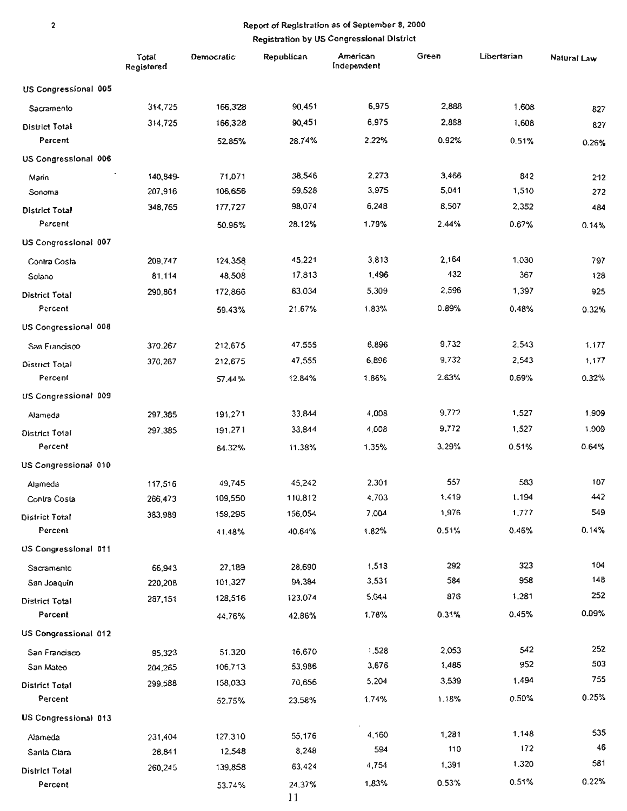$\overline{c}$ 

|                       | Total<br>Registered | Democratic | Republican   | American<br>Independent | Green | Libertarian | Natural Law |
|-----------------------|---------------------|------------|--------------|-------------------------|-------|-------------|-------------|
| US Congressional 005  |                     |            |              |                         |       |             |             |
| Sacramento            | 314,725             | 166,328    | 90,451       | 6,975                   | 2,888 | 1,608       | 827         |
| District Total        | 314,725             | 166,328    | 90,451       | 6,975                   | 2,888 | 1,608       | 827         |
| Percent               |                     | 52.85%     | 28.74%       | 2.22%                   | 0.92% | 0.51%       | 0.26%       |
| US Congressional 006  |                     |            |              |                         |       |             |             |
| Marin                 | 140,849-            | 71,071     | 38,546       | 2,273                   | 3,466 | 842         | 212         |
| Sonoma                | 207,916             | 106,656    | 59,528       | 3,975                   | 5,041 | 1,510       | 272         |
| District Total        | 348,765             | 177,727    | 98,074       | 6,248                   | 8,507 | 2,352       | 484         |
| Percent               |                     | 50.96%     | 28.12%       | 1.79%                   | 2.44% | 0.67%       | 0.14%       |
| US Congressional 007  |                     |            |              |                         |       |             |             |
| Contra Costa          | 209,747             | 124,358    | 45,221       | 3,813                   | 2,164 | 1,030       | 797         |
| Solano                | 81,114              | 48,508     | 17,813       | 1,496                   | 432   | 367         | 128         |
| <b>District Total</b> | 290,861             | 172,866    | 63,034       | 5,309                   | 2,596 | 1,397       | 925         |
| Percent               |                     | 59.43%     | 21.67%       | 1.83%                   | 0.89% | 0.48%       | 0.32%       |
| US Congressional 008  |                     |            |              |                         |       |             |             |
| San Francisco         | 370,267             | 212,675    | 47,555       | 6,896                   | 9,732 | 2.543       | 1.177       |
| District Total        | 370,267             | 212,675    | 47,555       | 6,896                   | 9,732 | 2,543       | 1,177       |
| Percent               |                     | 57.44%     | 12.84%       | 1.86%                   | 2.63% | 0.69%       | 0.32%       |
| US Congressional 009  |                     |            |              |                         |       |             |             |
| Alameda               | 297.385             | 191,271    | 33.844       | 4,008                   | 9.772 | 1,527       | 1,909       |
| District Total        | 297,385             | 191,271    | 33,844       | 4,008                   | 9,772 | 1,527       | 1.909       |
| Percent               |                     | 64.32%     | 11.38%       | 1.35%                   | 3.29% | 0.51%       | 0.64%       |
| US Congressional 010  |                     |            |              |                         |       |             |             |
| Alameda               | 117,516             | 49,745     | 45,242       | 2,301                   | 557   | 583         | 107         |
| Contra Costa          | 266,473             | 109,550    | 110,812      | 4,703                   | 1,419 | 1,194       | 442         |
| <b>District Total</b> | 383,989             | 159,295    | 156,054      | 7,004                   | 1,976 | 1.777       | 549         |
| Percent               |                     | 41.48%     | 40.64%       | 1.82%                   | 0.51% | 0.46%       | 0.14%       |
| US Congressional 011  |                     |            |              |                         |       |             |             |
| Sacramento            | 66,943              | 27,189     | 28,690       | 1,513                   | 292   | 323         | 104         |
| San Joaquin           | 220,208             | 101,327    | 94,384       | 3,531                   | 584   | 958         | 148         |
| District Total        | 287,151             | 128,516    | 123,074      | 5,044                   | 876   | 1.281       | 252         |
| Percent               |                     | 44.76%     | 42.86%       | 1.76%                   | 0.31% | 0.45%       | 0.09%       |
| US Congressional 012  |                     |            |              |                         |       |             |             |
| San Francisco         | 95,323              | 51,320     | 16,670       | 1.528                   | 2,053 | 542         | 252         |
| San Mateo             | 204,265             | 106,713    | 53,986       | 3,676                   | 1,486 | 952         | 503         |
| <b>District Total</b> | 299,588             | 158,033    | 70,656       | 5,204                   | 3,539 | 1,494       | 755         |
| Percent               |                     | 52.75%     | 23.58%       | 1.74%                   | 1.18% | 0.50%       | 0.25%       |
| US Congressional 013  |                     |            |              |                         |       |             |             |
| Alameda               | 231,404             | 127,310    | 55,176       | 4,160                   | 1,281 | 1,148       | 535         |
| Santa Clara           | 28,841              | 12,548     | 8,248        | 594                     | 110   | 172         | 46          |
| District Total        | 260,245             | 139,858    | 63,424       | 4,754                   | 1,391 | 1.320       | 581         |
| Percent               |                     | 53.74%     | 24,37%<br>11 | 1,83%                   | 0.53% | 0.51%       | 0.22%       |

 $_{11}$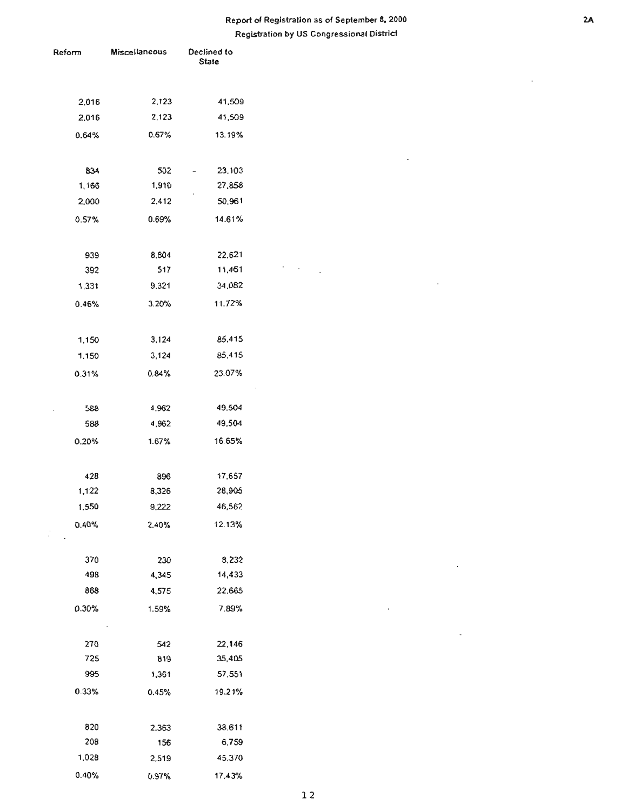$\sim$  $\mathcal{L}_{\mathcal{A}}$   $\ddot{\phantom{a}}$ 

 $\mathcal{L}_{\mathrm{c}}$ 

 $\bar{z}$ 

 $\Box$ 

 $\sim 10^{-11}$ 

| Reform   | <b>Miscellaneous</b> | Declined to<br>State |  |
|----------|----------------------|----------------------|--|
|          |                      |                      |  |
|          |                      |                      |  |
| 2,016    | 2,123                | 41,509               |  |
| 2,016    | 2,123                | 41,509               |  |
| 0.64%    | 0.67%                | 13.19%               |  |
|          |                      |                      |  |
| 834      | 502                  | 23,103               |  |
| 1,166    | 1,910                | 27,858               |  |
| 2,000    | 2,412                | 50,961               |  |
| 0.57%    | 0.69%                | 14.61%               |  |
|          |                      |                      |  |
| 939      | 8,804                | 22,621               |  |
| 392      | 517                  | 11,461               |  |
| 1,331    | 9,321                | 34,082               |  |
| 0.46%    | 3.20%                | 11.72%               |  |
|          |                      |                      |  |
| 1,150    | 3,124                | 85,415               |  |
| 1,150    | 3,124                | 85,415               |  |
| $0.31\%$ | 0.84%                | 23.07%               |  |
|          |                      |                      |  |
| 588      | 4.962                | 49.504               |  |
| 588      | 4,962                | 49,504               |  |
| 0.20%    | 1.67%                | 16.65%               |  |
|          |                      |                      |  |
|          |                      |                      |  |
| 428      | 896<br>8,326         | 17,657               |  |
| 1,122    |                      | 28,905               |  |
| 1,550    | 9,222                | 46,562               |  |
| 0.40%    | 2.40%                | 12.13%               |  |
|          |                      |                      |  |
| 370      | 230                  | 8,232                |  |
| 498      | 4,345                | 14,433               |  |
| 868      | 4,575                | 22,665               |  |
| 0.30%    | 1.59%                | 7.89%                |  |
|          |                      |                      |  |
| 270      | 542                  | 22,146               |  |
| 725      | 819                  | 35,405               |  |
| 995      | 1,361                | 57,551               |  |
| 0.33%    | 0.45%                | 19.21%               |  |
|          |                      |                      |  |
| 820      | 2.363                | 38.611               |  |
| 208      | 156                  | 6,759                |  |
| 1,028    | 2,519                | 45,370               |  |
| 0.40%    | 0.97%                | 17.43%               |  |

 $\mathcal{A}$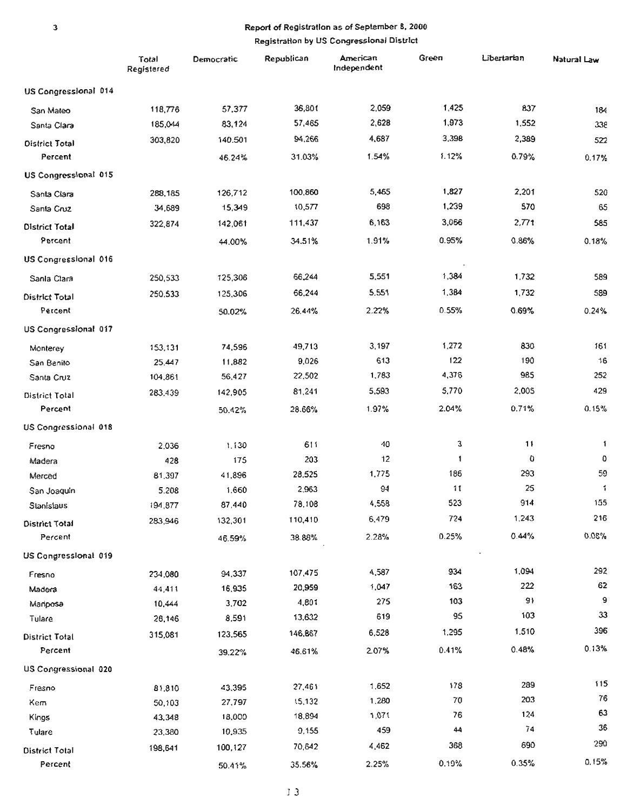|                       | Total<br>Registered | Democratic | Republican | American<br>Independent | Green  | Libertarian | Natural Law |
|-----------------------|---------------------|------------|------------|-------------------------|--------|-------------|-------------|
| US Congressional 014  |                     |            |            |                         |        |             |             |
| San Mateo             | 118,776             | 57,377     | 36,801     | 2,059                   | 1,425  | 837         | 184         |
| Santa Clara           | 185,044             | 83,124     | 57,465     | 2,628                   | 1,973  | 1,552       | 338         |
| <b>District Total</b> | 303,820             | 140.501    | 94,266     | 4,687                   | 3,398  | 2,389       | 522         |
| Percent               |                     | 46.24%     | 31.03%     | 1.54%                   | 1.12%  | 0.79%       | 0.17%       |
| US Congressional 015  |                     |            |            |                         |        |             |             |
| Santa Clara           | 288,185             | 126,712    | 100,860    | 5,465                   | 1,827  | 2,201       | 520         |
| Santa Cruz            | 34,689              | 15,349     | 10,577     | 698                     | 1,239  | 570         | 65          |
| <b>District Total</b> | 322,874             | 142,061    | 111,437    | 6,163                   | 3,066  | 2,771       | 585         |
| Percent               |                     | 44.00%     | 34.51%     | 1.91%                   | 0.95%  | 0.86%       | 0.18%       |
| US Congressional 016  |                     |            |            |                         |        |             |             |
| Sanla Clara           | 250,533             | 125,306    | 66,244     | 5,551                   | 1,384  | 1,732       | 589         |
| District Total        | 250,533             | 125,306    | 66,244     | 5,551                   | 1,384  | 1,732       | 589         |
| Percent               |                     | 50.02%     | 26.44%     | 2.22%                   | 0.55%  | 0.69%       | 0.24%       |
| US Congressional 017  |                     |            |            |                         |        |             |             |
| Monterey              | 153.131             | 74,596     | 49,713     | 3,197                   | 1,272  | 830         | 161         |
| San Benito            | 25,447              | 11,882     | 9,026      | 613                     | 122    | 190         | 16          |
| Santa Cruz            | 104,861             | 56,427     | 22,502     | 1,783                   | 4,376  | 985         | 252         |
| <b>District Total</b> | 283.439             | 142,905    | 81,241     | 5,593                   | 5,770  | 2,005       | 429         |
| Percent               |                     | 50.42%     | 28.66%     | 1.97%                   | 2.04%  | 0.71%       | 0.15%       |
| US Congressional 018  |                     |            |            |                         |        |             |             |
| Fresno                | 2.036               | 1.130      | 611        | 40                      | 3      | 11          | 1           |
| Madera                | 428                 | 175        | 203        | 12                      | 1      | û           | 0           |
| Merced                | 81,397              | 41,896     | 28,525     | 1,775                   | 186    | 293         | 59          |
| San Joaquin           | 5.208               | 1,660      | 2.963      | 94                      | 11     | 25          | 1           |
| Stanislaus            | 194,877             | 87,440     | 78,108     | 4,558                   | 523    | 914         | 155         |
| District Total        | 283,946             | 132,301    | 110,410    | 6,479                   | 724    | 1,243       | 216         |
| Percent               |                     | 46.59%     | 38.88%     | 2.28%                   | 0.25%  | 0.44%       | 0.08%       |
| US Congressional 019  |                     |            |            |                         |        |             |             |
| Fresno                | 234,080             | 94,337     | 107,475    | 4,587                   | 934    | 1,094       | 292         |
| Madera                | 44,411              | 16,935     | 20,959     | 1,047                   | 163    | 222         | 62          |
| Mariposa              | 10,444              | 3,702      | 4,801      | 275                     | 103    | 91          | 9           |
| Tulare                | 26,146              | 8,591      | 13,632     | 619                     | 95     | 103         | 33          |
| <b>District Total</b> | 315,081             | 123,565    | 146,867    | 6,528                   | 1,295  | 1.510       | 396         |
| Percent               |                     | 39.22%     | 46.61%     | 207%                    | 0.41%  | 0.48%       | 0.13%       |
| US Congressional 020  |                     |            |            |                         |        |             |             |
| Fresno                | 81.810              | 43,395     | 27,461     | 1.652                   | 178    | 289         | 115         |
| Kem                   | 50,103              | 27,797     | 15,132     | 1,280                   | $70\,$ | 203         | 76          |
| Kings                 | 43,348              | 18,000     | 18,894     | 1,071                   | 76     | 124         | 63<br>36    |
| Tulare                | 23,380              | 10,935     | 9,155      | 459                     | 44     | 74          |             |
| District Total        | 198,641             | 100,127    | 70,642     | 4,462                   | 368    | 690         | 290         |
| Percent               |                     | 50.41%     | 35.56%     | 2.25%                   | 0.19%  | 0.35%       | 0.15%       |

 $\mathbf 3$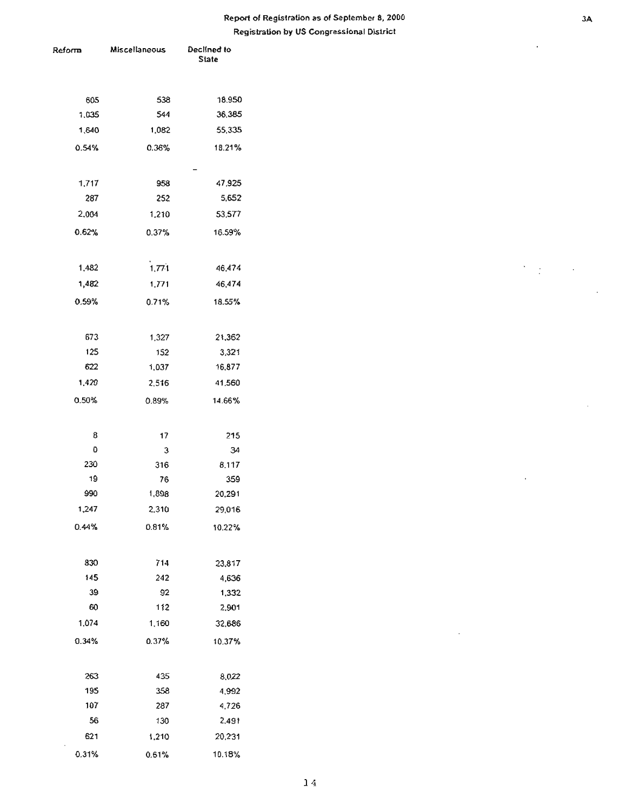| Reform       | <b>Miscellaneous</b> | Declined to<br><b>State</b> |  |
|--------------|----------------------|-----------------------------|--|
|              |                      |                             |  |
|              |                      |                             |  |
| 605<br>1,035 | 538<br>544           | 18,950<br>36,385            |  |
| 1,640        | 1,082                | 55,335                      |  |
|              |                      |                             |  |
| 0.54%        | 0.36%                | 18.21%                      |  |
|              |                      |                             |  |
| 1,717        | 958                  | 47,925                      |  |
| 287          | 252                  | 5,652                       |  |
| 2,004        | 1,210                | 53,577                      |  |
| 0.62%        | 0.37%                | 16.59%                      |  |
|              |                      |                             |  |
| 1,482        | 1,771                | 46,474                      |  |
| 1,482        | 1,771                | 46,474                      |  |
| 0.59%        | 0.71%                | 18.55%                      |  |
|              |                      |                             |  |
| 673          | 1,327                | 21,362                      |  |
| 125          | 152                  | 3,321                       |  |
| 622          | 1.037                | 16,877                      |  |
| 1,420        | 2,516                | 41,560                      |  |
| 0.50%        | 0.89%                | 14.66%                      |  |
|              |                      |                             |  |
| 8            | 17                   | 215                         |  |
| O            | З                    | 34                          |  |
| 230          | 316                  | 8.117                       |  |
| 19           | 76                   | 359                         |  |
| 990          | 1,898                | 20,291                      |  |
| 1,247        | 2,310                | 29,016                      |  |
| 0.44%        | 0.81%                | 10.22%                      |  |
|              |                      |                             |  |
| 830          | 714                  | 23,817                      |  |
| 145          | 242                  | 4,636                       |  |
| 39           | 92                   | 1,332                       |  |
| 60           | 112                  | 2,901                       |  |
| 1.074        | 1,160                | 32,686                      |  |
| 0.34%        | 0.37%                | 10.37%                      |  |
|              |                      |                             |  |
| 263          | 435                  | 8,022                       |  |
| 195          | 358                  | 4,992                       |  |
| 107          | 287                  | 4,726                       |  |
| 56           | 130                  | 2,491                       |  |
| 621          | 1,210                | 20,231                      |  |
| 0.31%        | 0.61%                | 10.18%                      |  |

 $\sum_{i=1}^n \frac{1}{i!} \sum_{j=1}^n \frac{1}{j!}$ 

 $\overline{a}$ 

 $\cdot$ 

 $\ddot{\phantom{a}}$ 

 $\overline{\phantom{a}}$ 

l,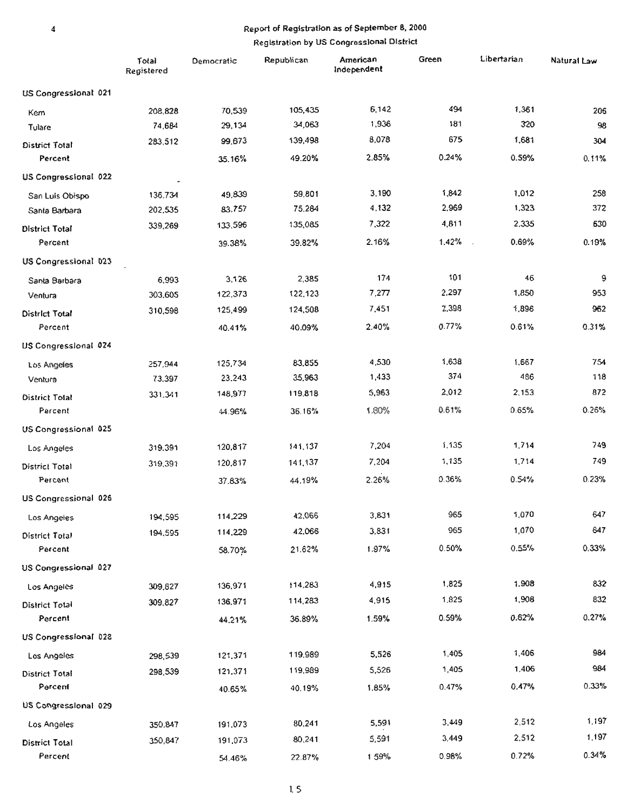### Report of Registration as of September 8, 2000

|                             | Total<br>Registered | Democratic | Republican | American<br>Independent | Green | Libertarian     | Natural Law |
|-----------------------------|---------------------|------------|------------|-------------------------|-------|-----------------|-------------|
| US Congressional 021        |                     |            |            |                         |       |                 |             |
| Kem                         | 208,828             | 70,539     | 105,435    | 6,142                   | 494   | 1,361           | 206         |
| Tulare                      | 74,684              | 29,134     | 34,063     | 1,936                   | 181   | 320             | 98          |
| District Total              | 283,512             | 99,673     | 139,498    | 8,078                   | 675   | 1,681           | 304         |
| Percent                     |                     | 35.16%     | 49.20%     | 2.85%                   | 0.24% | 0.59%           | 0.11%       |
| US Congressional 022        |                     |            |            |                         |       |                 |             |
| San Luis Obispo             | 136.734             | 49,839     | 59,801     | 3,190                   | 1,842 | 1,012           | 258         |
| Santa Barbara               | 202,535             | 83,757     | 75.284     | 4,132                   | 2,969 | 1,323           | 372         |
| <b>District Total</b>       | 339,269             | 133,596    | 135,085    | 7,322                   | 4,811 | 2.335           | 630         |
| Percent                     |                     | 39.38%     | 39.82%     | 2.16%                   | 1.42% | 0.69%<br>$\sim$ | 0.19%       |
| US Congressional 023        |                     |            |            |                         |       |                 |             |
| Santa Barbara               | 6,993               | 3,126      | 2,385      | 174                     | 101   | 46              | 9           |
| Ventura                     | 303,605             | 122,373    | 122,123    | 7,277                   | 2,297 | 1,850           | 953         |
| <b>District Total</b>       | 310,598             | 125,499    | 124,508    | 7,451                   | 2,398 | 1,896           | 962         |
| Percent                     |                     | 40.41%     | 40.09%     | 2.40%                   | 0.77% | 0.61%           | 0.31%       |
| US Congressional 024        |                     |            |            |                         |       |                 |             |
| Los Angeles                 | 257,944             | 125,734    | 83,855     | 4,530                   | 1,638 | 1,667           | 754         |
| Ventura                     | 73,397              | 23.243     | 35,963     | 1,433                   | 374   | 486             | 118         |
| <b>District Total</b>       | 331.341             | 148,977    | 119,818    | 5,963                   | 2,012 | 2,153           | 872         |
| Percent                     |                     | 44.96%     | 36.16%     | 1.80%                   | 0.61% | 0.65%           | 0.26%       |
| US Congressional 025        |                     |            |            |                         |       |                 |             |
| Los Angeles                 | 319.391             | 120,817    | 141,137    | 7,204                   | 1,135 | 1,714           | 749         |
| District Total              | 319,391             | 120,817    | 141,137    | 7,204                   | 1,135 | 1,714           | 749         |
| Percent                     |                     | 37.83%     | 44.19%     | 2.26%                   | 0.36% | 0.54%           | 0.23%       |
| <b>US Congressional 026</b> |                     |            |            |                         |       |                 |             |
| Los Angeles                 | 194,595             | 114,229    | 42,066     | 3,831                   | 965   | 1,070           | 647         |
| <b>District Total</b>       | 194,595             | 114,229    | 42,066     | 3,831                   | 965   | 1,070           | 647         |
| Percent                     |                     | 58.70%     | 21.62%     | 1.97%                   | 0.50% | 0.55%           | 0.33%       |
| US Congressional 027        |                     |            |            |                         |       |                 |             |
| Los Angeles                 | 309,827             | 136,971    | 114,283    | 4,915                   | 1,825 | 1,908           | 832         |
| District Total              | 309,827             | 136,971    | 114,283    | 4,915                   | 1,825 | 1,908           | 832         |
| Percent                     |                     | 44.21%     | 36.89%     | 1.59%                   | 0.59% | 0.62%           | 0.27%       |
| US Congressional 028        |                     |            |            |                         |       |                 |             |
| Los Angeles                 | 298,539             | 121,371    | 119,989    | 5,526                   | 1,405 | 1,406           | 984         |
| <b>District Total</b>       | 298,539             | 121,371    | 119,989    | 5,526                   | 1,405 | 1,406           | 984         |
| Percent                     |                     | 40.65%     | 40,19%     | 1.85%                   | 0.47% | 0.47%           | 0.33%       |
| US Congressional 029        |                     |            |            |                         |       |                 |             |
| Los Angeles                 | 350,847             | 191,073    | 80,241     | 5,591                   | 3,449 | 2,512           | 1,197       |
| District Total              | 350,847             | 191,073    | 80,241     | 5,591                   | 3,449 | 2,512           | 1,197       |
| Percent                     |                     | 54.46%     | 22.87%     | 159%                    | 0.98% | 0.72%           | 0.34%       |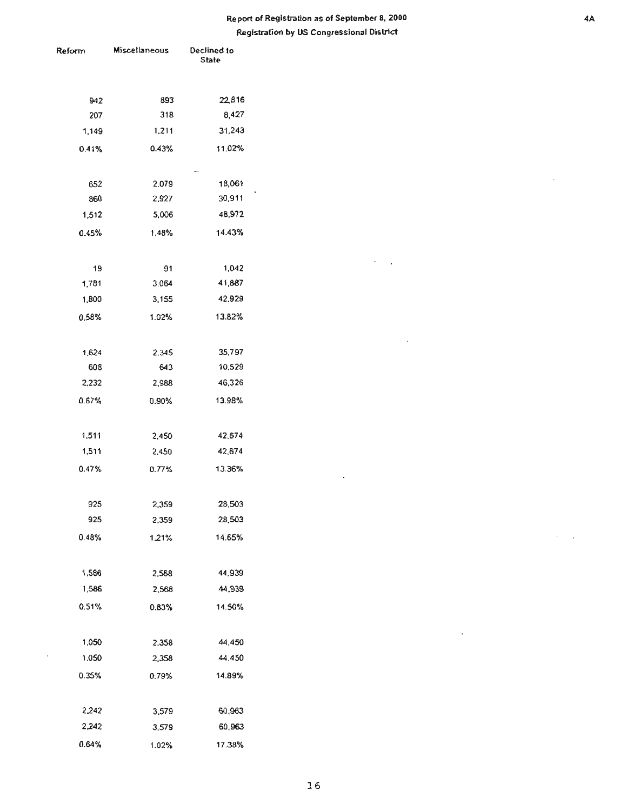$\cdot$  $\ddot{\phantom{a}}$ 

 $\bar{z}$ 

 $\bar{z}$ 

 $\blacksquare$ 

| Reform | Miscellaneous | Declined to<br>State |  |
|--------|---------------|----------------------|--|
|        |               |                      |  |
| 942    | 893           | 22816                |  |
| 207    | 318           | 8,427                |  |
| 1,149  | 1,211         | 31,243               |  |
| 0.41%  | 0.43%         | 11.02%               |  |
|        |               |                      |  |
| 652    | 2.079         | 18,061               |  |
| 860    | 2,927         | 30,911               |  |
| 1,512  | 5,006         | 48,972               |  |
| 0.45%  | 1.48%         | 14.43%               |  |
|        |               |                      |  |
| 19     | 91            | 1,042                |  |
| 1,781  | 3.064         | 41,887               |  |
| 1,800  | 3.155         | 42,929               |  |
| 0.58%  | 1.02%         | 13.82%               |  |
|        |               |                      |  |
| 1,624  | 2.345         | 35,797               |  |
| 608    | 643           | 10,529               |  |
| 2,232  | 2,988         | 46,326               |  |
| 0.67%  | 0.90%         | 13.98%               |  |
| 1,511  | 2,450         | 42,674               |  |
| 1,511  | 2,450         | 42,674               |  |
|        |               |                      |  |
| 0.47%  | 0.77%         | 13.36%               |  |
| 925    | 2,359         | 28,503               |  |
| 925    | 2,359         | 28,503               |  |
| 0.48%  | 1.21%         | 14.65%               |  |
|        |               |                      |  |
| 1,586  | 2,568         | 44,939               |  |
| 1,586  | 2,568         | 44,939               |  |
| 0.51%  | 0.83%         | 14.50%               |  |
|        |               |                      |  |
| 1,050  | 2.358         | 44,450               |  |
| 1,050  | 2,358         | 44,450               |  |
| 0.35%  | 0.79%         | 14.89%               |  |
|        |               |                      |  |
| 2,242  | 3,579         | 60,963               |  |
| 2,242  | 3,579         | 60,963               |  |
| 0.64%  | 1.02%         | 17.38%               |  |

 $\Box$ 

i,

 $\epsilon = 1$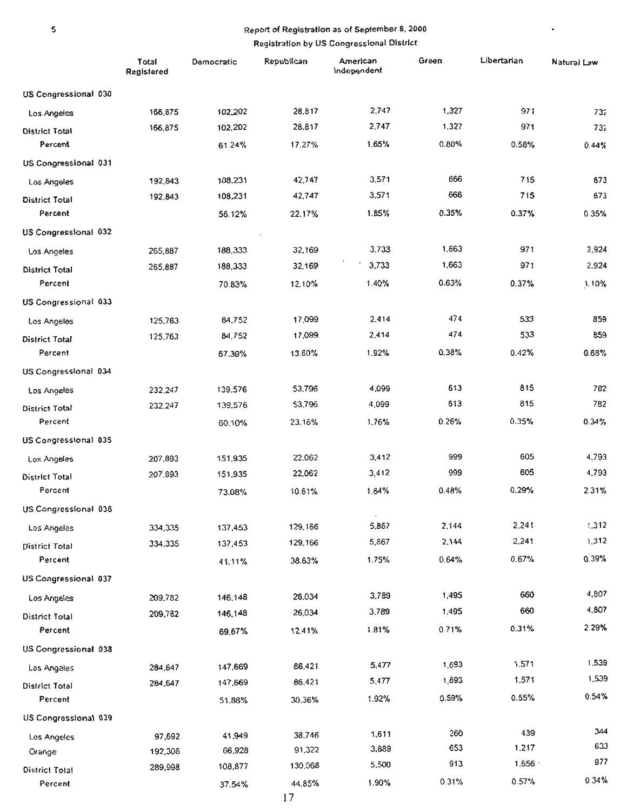$\bullet$ 

5

|                       | Total<br>Registered | Democratic | Republican | American<br>Independent | Green | Libertarian | Natural Law     |
|-----------------------|---------------------|------------|------------|-------------------------|-------|-------------|-----------------|
| US Congressional 030  |                     |            |            |                         |       |             |                 |
| Los Angeles           | 166,875             | 102,202    | 28,817     | 2.747                   | 1,327 | 971         | 73 <sub>6</sub> |
| District Total        | 166,875             | 102,202    | 28.817     | 2,747                   | 1,327 | 971         | 737             |
| Percent               |                     | 61.24%     | 17.27%     | 1.65%                   | 0.80% | 0.58%       | 0.44%           |
| US Congressional 031  |                     |            |            |                         |       |             |                 |
| Los Angeles           | 192,843             | 108,231    | 42,747     | 3,571                   | 666   | 715         | 673             |
| <b>District Total</b> | 192,843             | 108,231    | 42,747     | 3,571                   | 666   | 715         | 673             |
| Percent               |                     | 56.12%     | 22.17%     | 1.85%                   | 0.35% | 0.37%       | 0.35%           |
| US Congressional 032  |                     |            |            |                         |       |             |                 |
| Los Angeles           | 265,887             | 188,333    | 32,169     | 3,733                   | 1,663 | 971         | 2,924           |
| <b>District Total</b> | 265,887             | 188,333    | 32,169     | 3,733                   | 1,663 | 971         | 2,924           |
| Percent               |                     | 70.83%     | 12.10%     | 1.40%                   | 0.63% | 0.37%       | 1.10%           |
| US Congressional 033  |                     |            |            |                         |       |             |                 |
| Los Angeles           | 125,763             | 84,752     | 17.099     | 2.414                   | 474   | 533         | 859             |
| District Total        | 125,763             | 84,752     | 17,099     | 2,414                   | 474   | 533         | 859             |
| Percent               |                     | 67.39%     | 13.60%     | 1.92%                   | 0.38% | 0.42%       | 0.68%           |
| US Congressional 034  |                     |            |            |                         |       |             |                 |
| Los Angeles           | 232,247             | 139,576    | 53,796     | 4,099                   | 613   | 815         | 782             |
| District Total        | 232,247             | 139,576    | 53,796     | 4,099                   | 613   | 815         | 782             |
| Percent               |                     | 60.10%     | 23.16%     | 1.76%                   | 0.26% | 0.35%       | 0.34%           |
| US Congressional 035  |                     |            |            |                         |       |             |                 |
| Los Angeles           | 207,893             | 151,935    | 22.062     | 3,412                   | 999   | 605         | 4,793           |
| District Total        | 207 893             | 151,935    | 22,062     | 3,412                   | 999   | 605         | 4,793           |
| Percent               |                     | 73.08%     | 10.61%     | 1.64%                   | 0.48% | 0.29%       | 2.31%           |
| US Congressional 036  |                     |            |            |                         |       |             |                 |
| Los Angeles           | 334,335             | 137,453    | 129,166    | 5,867                   | 2,144 | 2,241       | 1,312           |
| <b>District Total</b> | 334,335             | 137,453    | 129,166    | 5,867                   | 2,144 | 2,241       | 1,312           |
| Percent               |                     | 41.11%     | 38.63%     | 1.75%                   | 0.64% | 0.67%       | 0.39%           |
| US Congressional 037  |                     |            |            |                         |       |             |                 |
| Los Angeles           | 209,782             | 146,148    | 26,034     | 3,789                   | 1,495 | 660         | 4,807           |
| District Total        | 209,782             | 146,148    | 26,034     | 3,789                   | 1,495 | 660         | 4,807           |
| Percent               |                     | 69.67%     | 12.41%     | 1.81%                   | 0.71% | 0.31%       | 2.29%           |
| US Congressional 038  |                     |            |            |                         |       |             |                 |
| Los Angeles           | 284,647             | 147,669    | 86,421     | 5,477                   | 1,693 | 1.571       | 1,539           |
| District Total        | 284,647             | 147,669    | 86,421     | 5,477                   | 1,693 | 1,571       | 1,539           |
| Percent               |                     | 51.88%     | 30,36%     | 1.92%                   | 0.59% | 0.55%       | 0.54%           |
| US Congressional 039  |                     |            |            |                         |       |             |                 |
| Los Angeles           | 97,692              | 41,949     | 38,746     | 1,611                   | 260   | 439         | 344             |
| Orange                | 192,306             | 66,928     | 91,322     | 3,889                   | 653   | 1,217       | 633             |
| District Total        | 289,998             | 108,877    | 130,068    | 5,500                   | 913   | 1,656       | 977             |
| Percent               |                     | 37.54%     | 44.85%     | $1.90\%$                | 0.31% | 0.57%       | 034%            |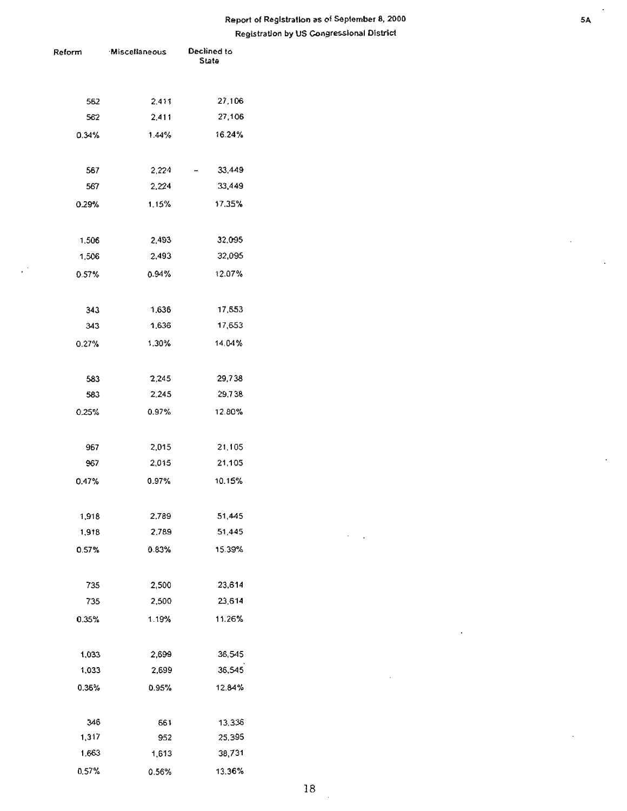# Report of Registration as of September 8, 2000 s. The separation of Registration and SA Registration by US Congressional District

| leform   | Miscellaneous | Declined to<br>State |
|----------|---------------|----------------------|
| 562      | 2,411         | 27,106               |
| 562      | 2,411         | 27,106               |
| 0.34%    | 1.44%         | 16.24%               |
| 567      | 2,224         | 33,449               |
| 567      | 2,224         | 33,449               |
| 0.29%    | 1.15%         | 17.35%               |
| 1,506    | 2,493         | 32,095               |
| 1,506    | 2,493         | 32,095               |
| $0.57\%$ | $0.94\%$      | 12.07%               |
| 343      | 1,636         | 17,553               |
| 343      | 1,636         | 17,653               |
| 0.27%    | 1.30%         | 14.04%               |
| 583      | 2,245         | 29,738               |
| 583      | 2.245         | 29,738               |
| 0.25%    | 0.97%         | 12.80%               |
| 967      | 2,015         | 21,105               |
| 967      | 2,015         | 21,105               |
| 0.47%    | 0.97%         | 10.15%               |
| 1,918    | 2,789         | 51,445               |
| 1,918    | 2.789         | 51,445               |
| 0.57%    | 0.83%         | 15.39%               |
| 735      | 2,500         | 23,614               |
| 735      | 2,500         | 23,614               |
| 0.35%    | 1.19%         | 11.26%               |
| 1,033    | 2,699         | 36,545               |
| 1,033    | 2,699         | 36,545               |
| 0.36%    | 0.95%         | 12.84%               |
| 346      | 661           | 13,336               |
| 1,317    | 952           | 25,395               |
| 1,663    | 1,613         | 38,731               |
| 0.57%    | 0.56%         | 13.36%               |

÷,

 $\overline{\phantom{a}}$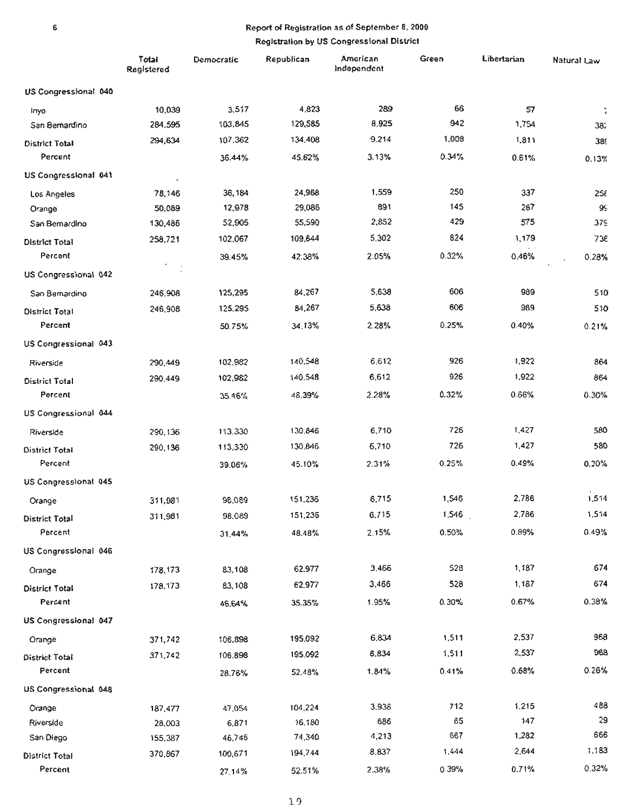|                       | Total<br>Registered | Democratic | Republican | American<br>Independent | Green | Libertarian | Natural Law |
|-----------------------|---------------------|------------|------------|-------------------------|-------|-------------|-------------|
| US Congressional 040  |                     |            |            |                         |       |             |             |
| Inyo                  | 10,039              | 3,517      | 4,823      | 289                     | 66    | 57          |             |
| San Bemardino         | 284,595             | 103,845    | 129,585    | 8,925                   | 942   | 1,754       | 382         |
| <b>District Total</b> | 294,634             | 107,362    | 134,408    | 9.214                   | 1,008 | 1,811       | 389         |
| Percent               |                     | 36.44%     | 45.62%     | 3.13%                   | 0.34% | 0.61%       | 0.13%       |
| US Congressional 041  |                     |            |            |                         |       |             |             |
| Los Angeles           | 78,146              | 36,184     | 24,968     | 1,559                   | 250   | 337         | 258         |
| Orange                | 50,089              | 12,978     | 29,086     | 891                     | 145   | 267         | 99          |
| San Bemardino         | 130,486             | 52,905     | 55,590     | 2,852                   | 429   | 575         | 379         |
| District Total        | 258,721             | 102,067    | 109,644    | 5,302                   | 824   | 1,179       | 736         |
| Percent               |                     | 39.45%     | 42.38%     | 2.05%                   | 0.32% | 0.46%       | 0.28%       |
| US Congressional 042  |                     |            |            |                         |       |             |             |
| San Bernardino        | 246,908             | 125,295    | 84,267     | 5,638                   | 606   | 989         | 510         |
| <b>District Total</b> | 246,908             | 125,295    | 84,267     | 5,638                   | 606   | 989         | 510         |
| Percent               |                     | 50.75%     | 34.13%     | 2.28%                   | 0.25% | 0.40%       | 0.21%       |
| US Congressional 043  |                     |            |            |                         |       |             |             |
| Riverside             | 290,449             | 102.982    | 140,548    | 6,612                   | 926   | 1,922       | 864         |
| <b>District Total</b> | 290.449             | 102,982    | 140,548    | 6,612                   | 926   | 1,922       | 864         |
| Percent               |                     | 35.46%     | 48,39%     | 2.28%                   | 0.32% | 0.66%       | 0.36%       |
| US Congressional 044  |                     |            |            |                         |       |             |             |
| Riverside             | 290,136             | 113.330    | 130,846    | 6,710                   | 726   | 1,427       | 580         |
| District Total        | 290,136             | 113,330    | 130,846    | 6,710                   | 726   | 1,427       | 580         |
| Percent               |                     | 39.06%     | 45.10%     | 2.31%                   | 0.25% | 0.49%       | 0.20%       |
| US Congressional 045  |                     |            |            |                         |       |             |             |
| Orange                | 311,981             | 98,089     | 151,236    | 6,715                   | 1,546 | 2,786       | 1,514       |
| District Total        | 311,981             | 98,089     | 151,236    | 6,715                   | 1,546 | 2,786       | 1,514       |
| Percent               |                     | 31.44%     | 48.48%     | 2.15%                   | 0.50% | 0.89%       | 0.49%       |
| US Congressional 046  |                     |            |            |                         |       |             |             |
| Orange                | 178,173             | 83,108     | 62.977     | 3,466                   | 528   | 1,187       | 674         |
| <b>District Total</b> | 178,173             | 83,108     | 62,977     | 3,466                   | 528   | 1,187       | 674         |
| Percent               |                     | 46.64%     | 35.35%     | 1.95%                   | 0.30% | 0.67%       | 0.38%       |
| US Congressional 047  |                     |            |            |                         |       |             |             |
| Orange                | 371,742             | 106,898    | 195.092    | 6,834                   | 1,511 | 2,537       | 968         |
| District Total        | 371,742             | 106.898    | 195,092    | 6,834                   | 1,511 | 2,537       | 968         |
| Percent               |                     | 28.76%     | 52.48%     | 1.84%                   | 0.41% | 0.68%       | 0.26%       |
| US Congressional 048  |                     |            |            |                         |       |             |             |
| Orange                | 187,477             | 47.054     | 104,224    | 3.938                   | 712   | 1,215       | 488         |
| Riverside             | 28,003              | 6,871      | 16,180     | 686                     | 65    | 147         | 29          |
| San Diego             | 155,387             | 46,746     | 74,340     | 4,213                   | 667   | 1,282       | 666         |
| District Total        | 370,867             | 100,671    | 194,744    | 8,837                   | 1,444 | 2,644       | 1,183       |
| Percent               |                     | 27.14%     | 52.51%     | 2.38%                   | 0.39% | 0.71%       | 0.32%       |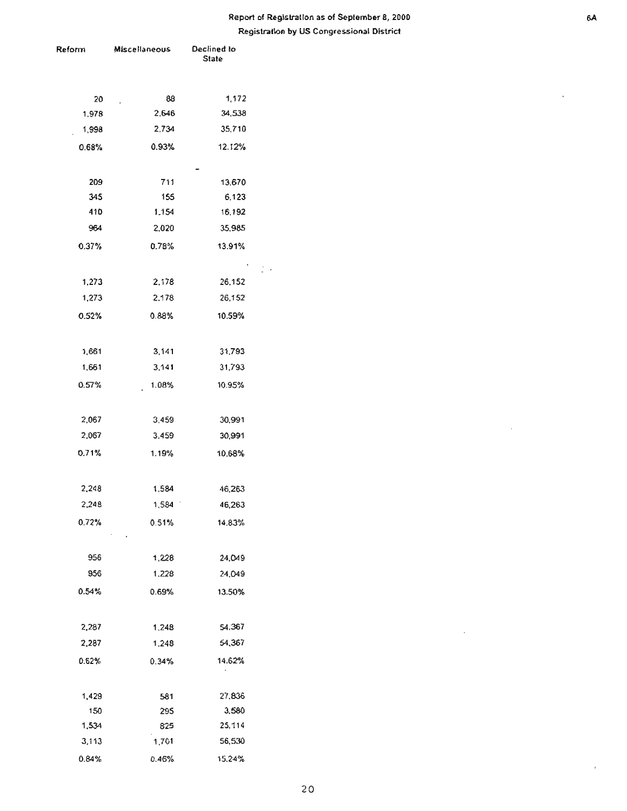$\bar{a}$ 

| Reform       | Miscellaneous | Declined to<br><b>State</b> |
|--------------|---------------|-----------------------------|
|              |               |                             |
| 20           | 88            | 1,172                       |
| 1,978        | 2,646         | 34,538                      |
| 1,998        | 2,734         | 35,710                      |
| 0.68%        | 0.93%         | 12.12%                      |
|              |               |                             |
| 209          | 711           | 13,670                      |
| 345          | 155           | 6,123                       |
| 410          | 1.154         | 16,192                      |
| 964          | 2,020         | 35,985                      |
| 0.37%        | 0.78%         | 13.91%                      |
|              |               |                             |
| 1,273        | 2,178         | 26,152                      |
| 1,273        | 2.178         | 26,152                      |
| 0.52%        | 0.88%         | 10.59%                      |
|              |               |                             |
| 1,661        | 3,141         | 31,793                      |
| 1,661        | 3,141         | 31,793                      |
| 0.57%        | 1.08%         | 10.95%                      |
| 2,067        | 3,459         | 30,991                      |
| 2,067        | 3,459         | 30,991                      |
|              |               |                             |
| 0.71%        | 1.19%         | 10.68%                      |
| 2,248        | 1,584         | 46,263                      |
| 2,248        | 1,584         | 46,263                      |
| 0.72%        | 0.51%         | 14.83%                      |
|              |               |                             |
| 956          | 1,228         | 24,049                      |
| 956          | 1,228         | 24,049                      |
| 0.54%        | 0.69%         | 13.50%                      |
|              |               |                             |
| 2,287        | 1.248         | 54,367                      |
| 2,287        | 1,248         | 54,367                      |
| 0.62%        | 0.34%         | 14.62%                      |
|              |               |                             |
| 1,429        | 581           | 27,836                      |
| 150<br>1,534 | 295           | 3,580                       |
| 3,113        | 825<br>1,701  | 25,114<br>56,530            |
| 0.84%        | 0.46%         | 15.24%                      |
|              |               |                             |

 $\ddot{\phantom{0}}$ 

 $\alpha$ 

 $\bar{\bar{1}}$ 

 $\bar{\bar{z}}$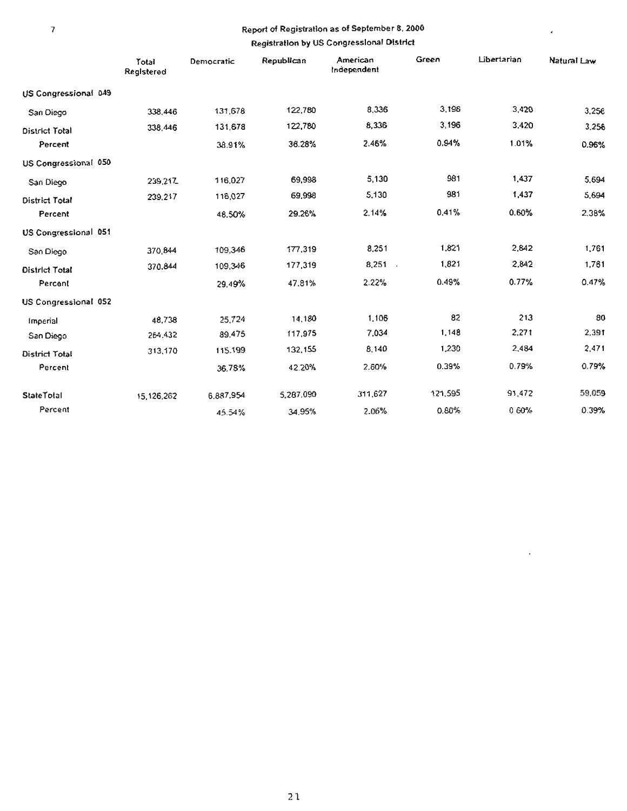$\overline{\phantom{a}}$ 

 $\Box$ 

|                       | Total<br>Registered | Democratic | Republican | American<br>Independent | Green   | Libertarian | Natural Law |
|-----------------------|---------------------|------------|------------|-------------------------|---------|-------------|-------------|
| US Congressional 049  |                     |            |            |                         |         |             |             |
| San Diego             | 338,446             | 131,678    | 122,780    | 8,336                   | 3,196   | 3,420       | 3,256       |
| <b>District Total</b> | 338,446             | 131,678    | 122,780    | 8,336                   | 3,196   | 3,420       | 3.256       |
| Percent               |                     | 38.91%     | 36.28%     | 2.46%                   | 0.94%   | 1.01%       | 0.96%       |
| US Congressional 050  |                     |            |            |                         |         |             |             |
| San Diego             | 239,217             | 116,027    | 69,998     | 5,130                   | 981     | 1,437       | 5.694       |
| District Total        | 239,217             | 116,027    | 69,998     | 5,130                   | 981     | 1,437       | 5,694       |
| Percent               |                     | 48.50%     | 29.26%     | 2.14%                   | 0.41%   | 0.60%       | 2.38%       |
| US Congressional 051  |                     |            |            |                         |         |             |             |
| San Diego             | 370,844             | 109,346    | 177,319    | 8,251                   | 1,821   | 2,842       | 1,761       |
| District Total        | 370,844             | 109,346    | 177,319    | $8,251$ .               | 1,821   | 2,842       | 1,761       |
| Percent               |                     | 29.49%     | 47.81%     | 2.22%                   | 0.49%   | 0.77%       | 0.47%       |
| US Congressional 052  |                     |            |            |                         |         |             |             |
| Imperial              | 48,738              | 25.724     | 14,180     | 1,106                   | 82      | 213         | 80          |
| San Diego             | 264.432             | 89.475     | 117,975    | 7,034                   | 1,148   | 2,271       | 2,391       |
| District Total        | 313,170             | 115.199    | 132,155    | 8,140                   | 1,230   | 2,484       | 2,471       |
| Percent               |                     | 36,78%     | 42.20%     | 2.60%                   | 0.39%   | 0.79%       | 0.79%       |
| <b>State Total</b>    | 15, 126, 262        | 6.887,954  | 5,287,090  | 311,627                 | 121,595 | 91,472      | 59,059      |
| Percent               |                     | 45.54%     | 34.95%     | 2.06%                   | 0.80%   | 0 60%       | 0.39%       |